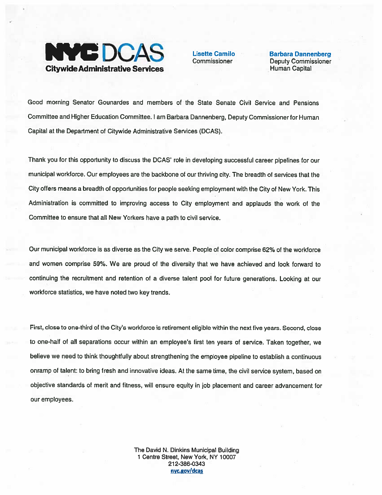

Goad morning Senator Gounardes and members of the State Senate Civil Service and Pensions Committee and Higher Education Committee. lam Barbara Dannenberg, Deputy Commissioner for Human Capital at the Department of Citywide Administrative Services (DCAS).

Thank you for this opportunity to discuss the DCAS' role in developing successful career <sup>p</sup>ipelines for our municipal workforce. Our employees are the backbone of our thriving city. The breadth of services that the City offers means <sup>a</sup> breadth of opportunities for people seeking employment with the City of New York. This Administration is committed to improving access to City employment and applauds the work of the Committee to ensure that all New Yorkers have <sup>a</sup> path to civil service.

Our municipal workforce is as diverse as the City we serve. People of color comprise 62% of the workforce and women comprise 59%. We are proud of the diversity that we have achieved and look forward to continuing the recruitment and retention of <sup>a</sup> diverse talent poo<sup>l</sup> for future generations. Looking at our workforce statistics, we have noted two key trends.

First, close to one-third of the City's workforce is retirement eligible within the next five years. Second, close to one-half of all separations occur within an employee's first ten years of service. Taken together, we believe we need to think thoughtfully about strengthening the employee <sup>p</sup>ipeline to establish <sup>a</sup> continuous onramp of talent: to bring fresh and innovative ideas. At the same time, the civil service system, based on objective standards of merit and fitness, will ensure equity in job <sup>p</sup>lacement and career advancement for our employees.

> The David N. Dinkins Municipal Building 1 Centre Street, New York, NY 10007 212-386-0343 nyc.gov/dcas